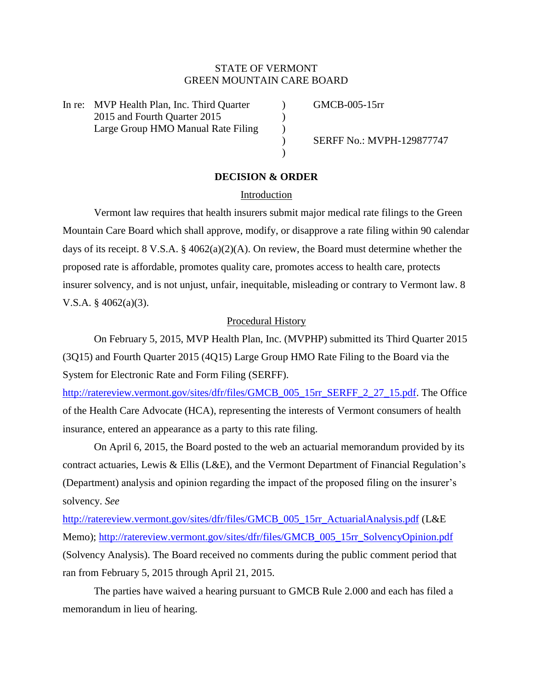# STATE OF VERMONT GREEN MOUNTAIN CARE BOARD

In re: MVP Health Plan, Inc. Third Quarter (a) GMCB-005-15rr 2015 and Fourth Ouarter 2015 Large Group HMO Manual Rate Filing  $\qquad)$ 

) SERFF No.: MVPH-129877747

# **DECISION & ORDER**

 $\lambda$ 

### Introduction

Vermont law requires that health insurers submit major medical rate filings to the Green Mountain Care Board which shall approve, modify, or disapprove a rate filing within 90 calendar days of its receipt. 8 V.S.A. § 4062(a)(2)(A). On review, the Board must determine whether the proposed rate is affordable, promotes quality care, promotes access to health care, protects insurer solvency, and is not unjust, unfair, inequitable, misleading or contrary to Vermont law. 8 V.S.A. § 4062(a)(3).

### Procedural History

On February 5, 2015, MVP Health Plan, Inc. (MVPHP) submitted its Third Quarter 2015 (3Q15) and Fourth Quarter 2015 (4Q15) Large Group HMO Rate Filing to the Board via the System for Electronic Rate and Form Filing (SERFF).

[http://ratereview.vermont.gov/sites/dfr/files/GMCB\\_005\\_15rr\\_SERFF\\_2\\_27\\_15.pdf.](http://ratereview.vermont.gov/sites/dfr/files/GMCB_005_15rr_SERFF_2_27_15.pdf) The Office of the Health Care Advocate (HCA), representing the interests of Vermont consumers of health insurance, entered an appearance as a party to this rate filing.

On April 6, 2015, the Board posted to the web an actuarial memorandum provided by its contract actuaries, Lewis & Ellis (L&E), and the Vermont Department of Financial Regulation's (Department) analysis and opinion regarding the impact of the proposed filing on the insurer's solvency. *See*

[http://ratereview.vermont.gov/sites/dfr/files/GMCB\\_005\\_15rr\\_ActuarialAnalysis.pdf](http://ratereview.vermont.gov/sites/dfr/files/GMCB_005_15rr_ActuarialAnalysis.pdf) (L&E Memo); [http://ratereview.vermont.gov/sites/dfr/files/GMCB\\_005\\_15rr\\_SolvencyOpinion.pdf](http://ratereview.vermont.gov/sites/dfr/files/GMCB_005_15rr_SolvencyOpinion.pdf) (Solvency Analysis). The Board received no comments during the public comment period that ran from February 5, 2015 through April 21, 2015.

The parties have waived a hearing pursuant to GMCB Rule 2.000 and each has filed a memorandum in lieu of hearing.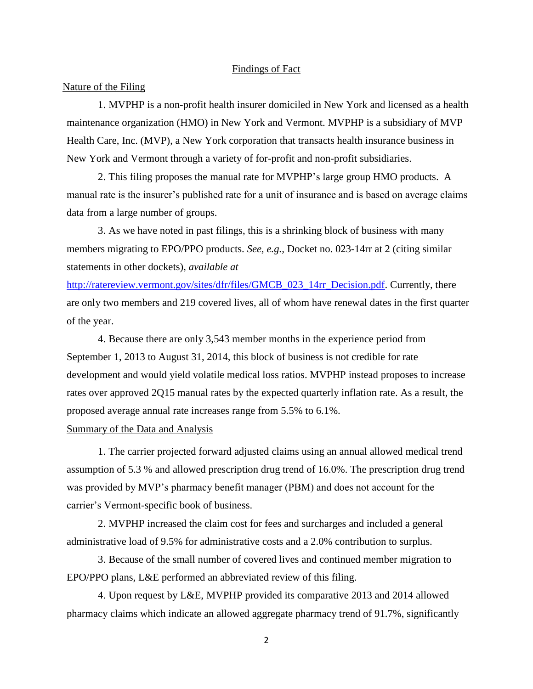### Findings of Fact

### Nature of the Filing

1. MVPHP is a non-profit health insurer domiciled in New York and licensed as a health maintenance organization (HMO) in New York and Vermont. MVPHP is a subsidiary of MVP Health Care, Inc. (MVP), a New York corporation that transacts health insurance business in New York and Vermont through a variety of for-profit and non-profit subsidiaries.

2. This filing proposes the manual rate for MVPHP's large group HMO products. A manual rate is the insurer's published rate for a unit of insurance and is based on average claims data from a large number of groups.

3. As we have noted in past filings, this is a shrinking block of business with many members migrating to EPO/PPO products. *See, e.g.,* Docket no. 023-14rr at 2 (citing similar statements in other dockets), *available at*

http://ratereview.vermont.gov/sites/dfr/files/GMCB 023 14rr Decision.pdf. Currently, there are only two members and 219 covered lives, all of whom have renewal dates in the first quarter of the year.

4. Because there are only 3,543 member months in the experience period from September 1, 2013 to August 31, 2014, this block of business is not credible for rate development and would yield volatile medical loss ratios. MVPHP instead proposes to increase rates over approved 2Q15 manual rates by the expected quarterly inflation rate. As a result, the proposed average annual rate increases range from 5.5% to 6.1%.

# Summary of the Data and Analysis

1. The carrier projected forward adjusted claims using an annual allowed medical trend assumption of 5.3 % and allowed prescription drug trend of 16.0%. The prescription drug trend was provided by MVP's pharmacy benefit manager (PBM) and does not account for the carrier's Vermont-specific book of business.

2. MVPHP increased the claim cost for fees and surcharges and included a general administrative load of 9.5% for administrative costs and a 2.0% contribution to surplus.

3. Because of the small number of covered lives and continued member migration to EPO/PPO plans, L&E performed an abbreviated review of this filing.

4. Upon request by L&E, MVPHP provided its comparative 2013 and 2014 allowed pharmacy claims which indicate an allowed aggregate pharmacy trend of 91.7%, significantly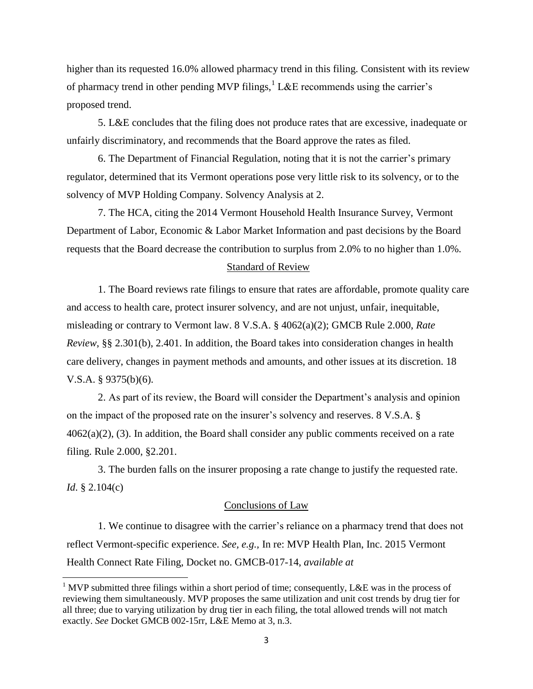higher than its requested 16.0% allowed pharmacy trend in this filing. Consistent with its review of pharmacy trend in other pending MVP filings,  ${}^{1}$  L&E recommends using the carrier's proposed trend.

5. L&E concludes that the filing does not produce rates that are excessive, inadequate or unfairly discriminatory, and recommends that the Board approve the rates as filed.

6. The Department of Financial Regulation, noting that it is not the carrier's primary regulator, determined that its Vermont operations pose very little risk to its solvency, or to the solvency of MVP Holding Company. Solvency Analysis at 2.

7. The HCA, citing the 2014 Vermont Household Health Insurance Survey, Vermont Department of Labor, Economic & Labor Market Information and past decisions by the Board requests that the Board decrease the contribution to surplus from 2.0% to no higher than 1.0%.

### Standard of Review

1. The Board reviews rate filings to ensure that rates are affordable, promote quality care and access to health care, protect insurer solvency, and are not unjust, unfair, inequitable, misleading or contrary to Vermont law. 8 V.S.A. § 4062(a)(2); GMCB Rule 2.000, *Rate Review*, §§ 2.301(b), 2.401. In addition, the Board takes into consideration changes in health care delivery, changes in payment methods and amounts, and other issues at its discretion. 18 V.S.A. § 9375(b)(6).

2. As part of its review, the Board will consider the Department's analysis and opinion on the impact of the proposed rate on the insurer's solvency and reserves. 8 V.S.A. §  $4062(a)(2)$ , (3). In addition, the Board shall consider any public comments received on a rate filing. Rule 2.000, §2.201.

3. The burden falls on the insurer proposing a rate change to justify the requested rate. *Id*. § 2.104(c)

#### Conclusions of Law

1. We continue to disagree with the carrier's reliance on a pharmacy trend that does not reflect Vermont-specific experience. *See, e.g.,* In re: MVP Health Plan, Inc. 2015 Vermont Health Connect Rate Filing, Docket no. GMCB-017-14, *available at* 

l

<sup>&</sup>lt;sup>1</sup> MVP submitted three filings within a short period of time; consequently, L&E was in the process of reviewing them simultaneously. MVP proposes the same utilization and unit cost trends by drug tier for all three; due to varying utilization by drug tier in each filing, the total allowed trends will not match exactly. *See* Docket GMCB 002-15rr, L&E Memo at 3, n.3.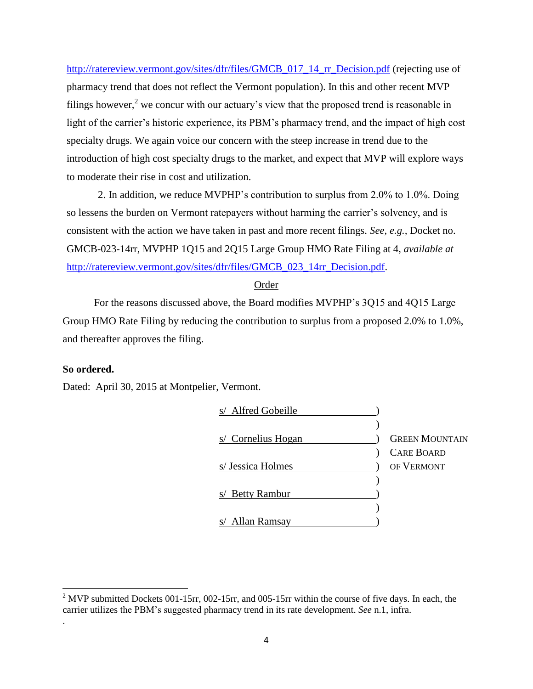[http://ratereview.vermont.gov/sites/dfr/files/GMCB\\_017\\_14\\_rr\\_Decision.pdf](http://ratereview.vermont.gov/sites/dfr/files/GMCB_017_14_rr_Decision.pdf) (rejecting use of pharmacy trend that does not reflect the Vermont population). In this and other recent MVP filings however,<sup>2</sup> we concur with our actuary's view that the proposed trend is reasonable in light of the carrier's historic experience, its PBM's pharmacy trend, and the impact of high cost specialty drugs. We again voice our concern with the steep increase in trend due to the introduction of high cost specialty drugs to the market, and expect that MVP will explore ways to moderate their rise in cost and utilization.

2. In addition, we reduce MVPHP's contribution to surplus from 2.0% to 1.0%. Doing so lessens the burden on Vermont ratepayers without harming the carrier's solvency, and is consistent with the action we have taken in past and more recent filings. *See, e.g.,* Docket no. GMCB-023-14rr, MVPHP 1Q15 and 2Q15 Large Group HMO Rate Filing at 4, *available at* [http://ratereview.vermont.gov/sites/dfr/files/GMCB\\_023\\_14rr\\_Decision.pdf.](http://ratereview.vermont.gov/sites/dfr/files/GMCB_023_14rr_Decision.pdf)

### Order

For the reasons discussed above, the Board modifies MVPHP's 3Q15 and 4Q15 Large Group HMO Rate Filing by reducing the contribution to surplus from a proposed 2.0% to 1.0%, and thereafter approves the filing.

# **So ordered.**

 $\overline{a}$ 

.

Dated: April 30, 2015 at Montpelier, Vermont.



<sup>&</sup>lt;sup>2</sup> MVP submitted Dockets 001-15rr, 002-15rr, and 005-15rr within the course of five days. In each, the carrier utilizes the PBM's suggested pharmacy trend in its rate development. *See* n.1, infra.